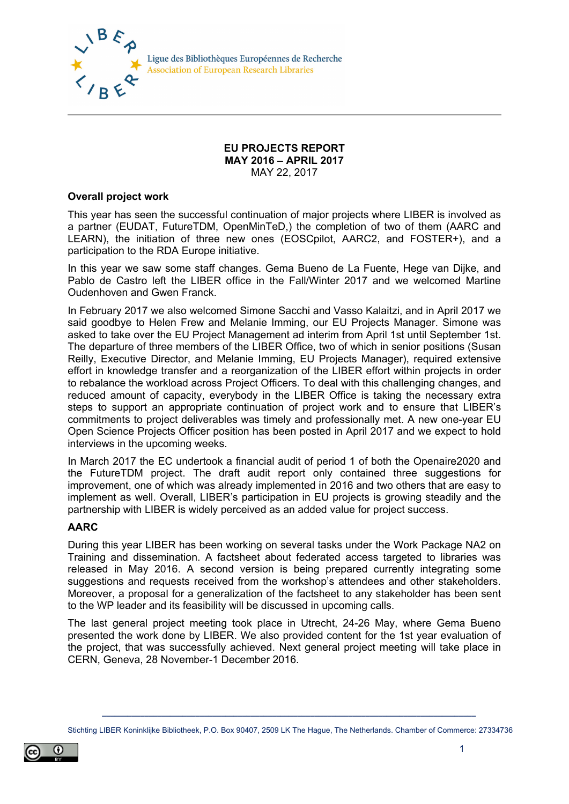

Ligue des Bibliothèques Européennes de Recherche **Association of European Research Libraries** 

#### **EU PROJECTS REPORT MAY 2016 – APRIL 2017** MAY 22, 2017

#### **Overall project work**

This year has seen the successful continuation of major projects where LIBER is involved as a partner (EUDAT, FutureTDM, OpenMinTeD,) the completion of two of them (AARC and LEARN), the initiation of three new ones (EOSCpilot, AARC2, and FOSTER+), and a participation to the RDA Europe initiative.

In this year we saw some staff changes. Gema Bueno de La Fuente, Hege van Dijke, and Pablo de Castro left the LIBER office in the Fall/Winter 2017 and we welcomed Martine Oudenhoven and Gwen Franck.

In February 2017 we also welcomed Simone Sacchi and Vasso Kalaitzi, and in April 2017 we said goodbye to Helen Frew and Melanie Imming, our EU Projects Manager. Simone was asked to take over the EU Project Management ad interim from April 1st until September 1st. The departure of three members of the LIBER Office, two of which in senior positions (Susan Reilly, Executive Director, and Melanie Imming, EU Projects Manager), required extensive effort in knowledge transfer and a reorganization of the LIBER effort within projects in order to rebalance the workload across Project Officers. To deal with this challenging changes, and reduced amount of capacity, everybody in the LIBER Office is taking the necessary extra steps to support an appropriate continuation of project work and to ensure that LIBER's commitments to project deliverables was timely and professionally met. A new one-year EU Open Science Projects Officer position has been posted in April 2017 and we expect to hold interviews in the upcoming weeks.

In March 2017 the EC undertook a financial audit of period 1 of both the Openaire2020 and the FutureTDM project. The draft audit report only contained three suggestions for improvement, one of which was already implemented in 2016 and two others that are easy to implement as well. Overall, LIBER's participation in EU projects is growing steadily and the partnership with LIBER is widely perceived as an added value for project success.

#### **AARC**

During this year LIBER has been working on several tasks under the Work Package NA2 on Training and dissemination. A factsheet about federated access targeted to libraries was released in May 2016. A second version is being prepared currently integrating some suggestions and requests received from the workshop's attendees and other stakeholders. Moreover, a proposal for a generalization of the factsheet to any stakeholder has been sent to the WP leader and its feasibility will be discussed in upcoming calls.

The last general project meeting took place in Utrecht, 24-26 May, where Gema Bueno presented the work done by LIBER. We also provided content for the 1st year evaluation of the project, that was successfully achieved. Next general project meeting will take place in CERN, Geneva, 28 November-1 December 2016.

**\_\_\_\_\_\_\_\_\_\_\_\_\_\_\_\_\_\_\_\_\_\_\_\_\_\_\_\_\_\_\_\_\_\_\_\_\_\_\_\_\_\_\_\_\_\_\_\_\_\_\_\_\_\_\_\_\_\_\_\_\_\_\_\_\_\_\_\_\_\_\_\_\_\_\_\_\_\_\_\_\_\_\_\_\_\_\_\_** Stichting LIBER Koninklijke Bibliotheek, P.O. Box 90407, 2509 LK The Hague, The Netherlands. Chamber of Commerce: 27334736

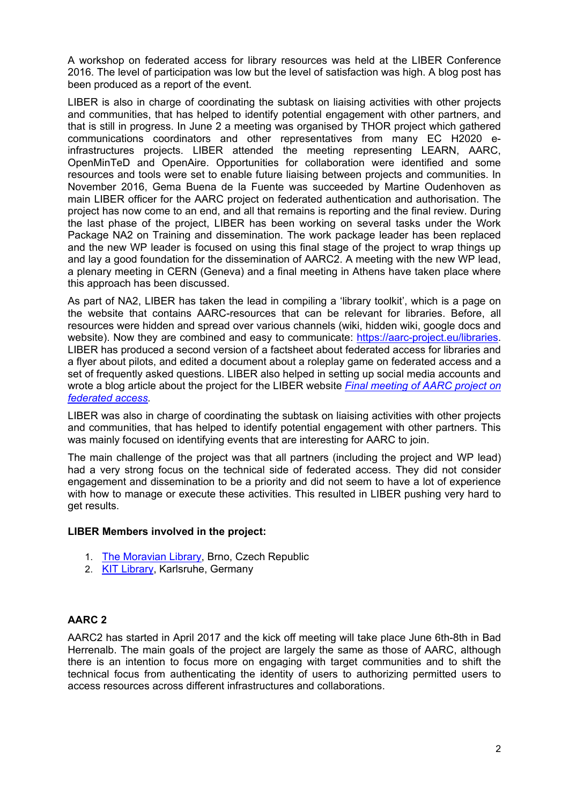A workshop on federated access for library resources was held at the LIBER Conference 2016. The level of participation was low but the level of satisfaction was high. A [blog](https://aarc-project.eu/federate-to-win-an-aarc-workshop-at-the-liber-annual-conference-2016) post has been produced as a report of the event.

LIBER is also in charge of coordinating the subtask on liaising activities with other projects and communities, that has helped to identify potential engagement with other partners, and that is still in progress. In June 2 a meeting was organised by THOR project which gathered communications coordinators and other representatives from many EC H2020 einfrastructures projects. LIBER attended the meeting representing LEARN, AARC, OpenMinTeD and OpenAire. Opportunities for collaboration were identified and some resources and tools were set to enable future liaising between projects and communities. In November 2016, Gema Buena de la Fuente was succeeded by Martine Oudenhoven as main LIBER officer for the AARC project on federated authentication and authorisation. The project has now come to an end, and all that remains is reporting and the final review. During the last phase of the project, LIBER has been working on several tasks under the Work Package NA2 on Training and dissemination. The work package leader has been replaced and the new WP leader is focused on using this final stage of the project to wrap things up and lay a good foundation for the dissemination of AARC2. A meeting with the new WP lead, a plenary meeting in CERN (Geneva) and a final meeting in Athens have taken place where this approach has been discussed.

As part of NA2, LIBER has taken the lead in compiling a 'library toolkit', which is a page on the website that contains AARC-resources that can be relevant for libraries. Before, all resources were hidden and spread over various channels (wiki, hidden wiki, google docs and website). Now they are combined and easy to communicate: [https://aarc-project.eu/libraries.](https://aarc-project.eu/libraries) LIBER has produced a second version of a factsheet about federated access for libraries and a flyer about pilots, and edited a document about a roleplay game on federated access and a set of frequently asked questions. LIBER also helped in setting up social media accounts and wrote a blog article about the project for the LIBER website *[Final meeting of AARC project on](http://libereurope.eu/blog/2017/05/09/final-meeting-aarc-project-federated-access/)  [federated access.](http://libereurope.eu/blog/2017/05/09/final-meeting-aarc-project-federated-access/)*

LIBER was also in charge of coordinating the subtask on liaising activities with other projects and communities, that has helped to identify potential engagement with other partners. This was mainly focused on identifying events that are interesting for AARC to join.

The main challenge of the project was that all partners (including the project and WP lead) had a very strong focus on the technical side of federated access. They did not consider engagement and dissemination to be a priority and did not seem to have a lot of experience with how to manage or execute these activities. This resulted in LIBER pushing very hard to get results.

#### **LIBER Members involved in the project:**

- 1. [The Moravian Library,](https://www.mzk.cz/en) Brno, Czech Republic
- 2. [KIT Library,](http://www.bibliothek.kit.edu/cms/english/) Karlsruhe, Germany

# **AARC 2**

AARC2 has started in April 2017 and the kick off meeting will take place June 6th-8th in Bad Herrenalb. The main goals of the project are largely the same as those of AARC, although there is an intention to focus more on engaging with target communities and to shift the technical focus from authenticating the identity of users to authorizing permitted users to access resources across different infrastructures and collaborations.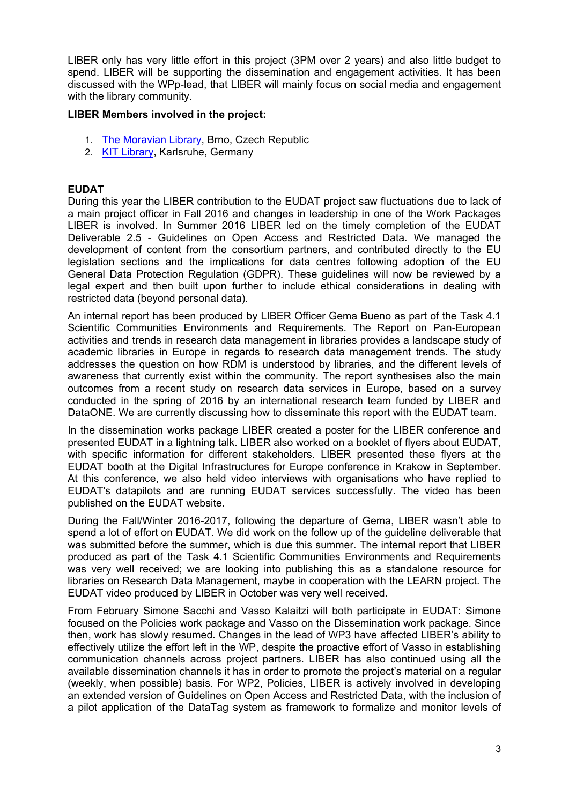LIBER only has very little effort in this project (3PM over 2 years) and also little budget to spend. LIBER will be supporting the dissemination and engagement activities. It has been discussed with the WPp-lead, that LIBER will mainly focus on social media and engagement with the library community.

#### **LIBER Members involved in the project:**

- 1. [The Moravian Library,](https://www.mzk.cz/en) Brno, Czech Republic
- 2. [KIT Library,](http://www.bibliothek.kit.edu/cms/english/) Karlsruhe, Germany

### **EUDAT**

During this year the LIBER contribution to the EUDAT project saw fluctuations due to lack of a main project officer in Fall 2016 and changes in leadership in one of the Work Packages LIBER is involved. In Summer 2016 LIBER led on the timely completion of the EUDAT Deliverable 2.5 - Guidelines on Open Access and Restricted Data. We managed the development of content from the consortium partners, and contributed directly to the EU legislation sections and the implications for data centres following adoption of the EU General Data Protection Regulation (GDPR). These guidelines will now be reviewed by a legal expert and then built upon further to include ethical considerations in dealing with restricted data (beyond personal data).

An internal report has been produced by LIBER Officer Gema Bueno as part of the Task 4.1 Scientific Communities Environments and Requirements. The Report on Pan-European activities and trends in research data management in libraries provides a landscape study of academic libraries in Europe in regards to research data management trends. The study addresses the question on how RDM is understood by libraries, and the different levels of awareness that currently exist within the community. The report synthesises also the main outcomes from a recent study on research data services in Europe, based on a survey conducted in the spring of 2016 by an international research team funded by LIBER and DataONE. We are currently discussing how to disseminate this report with the EUDAT team.

In the dissemination works package LIBER created a poster for the LIBER conference and presented EUDAT in a lightning talk. LIBER also worked on a booklet of flyers about EUDAT, with specific information for different stakeholders. LIBER presented these flyers at the EUDAT booth at the Digital Infrastructures for Europe conference in Krakow in September. At this conference, we also held video interviews with organisations who have replied to EUDAT's datapilots and are running EUDAT services successfully. The video has been published on the EUDAT website.

During the Fall/Winter 2016-2017, following the departure of Gema, LIBER wasn't able to spend a lot of effort on EUDAT. We did work on the follow up of the guideline deliverable that was submitted before the summer, which is due this summer. The internal report that LIBER produced as part of the Task 4.1 Scientific Communities Environments and Requirements was very well received; we are looking into publishing this as a standalone resource for libraries on Research Data Management, maybe in cooperation with the LEARN project. The EUDAT video produced by LIBER in October was very well received.

From February Simone Sacchi and Vasso Kalaitzi will both participate in EUDAT: Simone focused on the Policies work package and Vasso on the Dissemination work package. Since then, work has slowly resumed. Changes in the lead of WP3 have affected LIBER's ability to effectively utilize the effort left in the WP, despite the proactive effort of Vasso in establishing communication channels across project partners. LIBER has also continued using all the available dissemination channels it has in order to promote the project's material on a regular (weekly, when possible) basis. For WP2, Policies, LIBER is actively involved in developing an extended version of Guidelines on Open Access and Restricted Data, with the inclusion of a pilot application of the DataTag system as framework to formalize and monitor levels of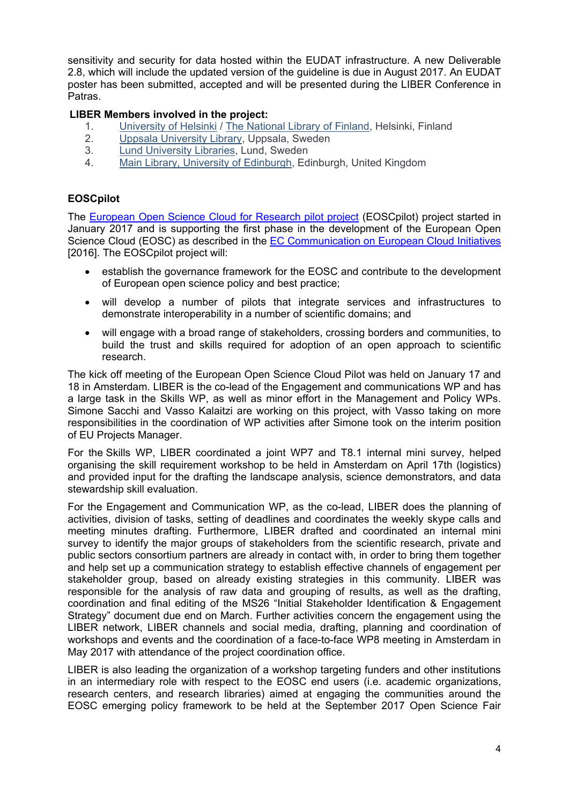sensitivity and security for data hosted within the EUDAT infrastructure. A new Deliverable 2.8, which will include the updated version of the guideline is due in August 2017. An EUDAT poster has been submitted, accepted and will be presented during the LIBER Conference in Patras.

# **LIBER Members involved in the project:**

- 1. [University of Helsinki](https://www.helsinki.fi/en) / [The National Library of Finland,](http://www.nationallibrary.fi/) Helsinki, Finland<br>2. Uppsala University Library, Uppsala, Sweden
- 2. [Uppsala University Library,](http://www.uu.se/) Uppsala, Sweden
- 
- 3. [Lund University Libraries,](http://www.lub.lu.se/en/lund-university-libraries) Lund, Sweden<br>4 Main Library, University of Edinburgh, Ed [Main Library, University of Edinburgh,](http://www.ed.ac.uk/information-services/library-museum-gallery) Edinburgh, United Kingdom

### **EOSCpilot**

The [European Open Science Cloud for Research pilot project](http://eoscpilot.eu/) (EOSCpilot) project started in January 2017 and is supporting the first phase in the development of the European Open Science Cloud (EOSC) as described in the [EC Communication on European Cloud Initiatives](https://ec.europa.eu/digital-single-market/en/news/communication-european-cloud-initiative-building-competitive-data-and-knowledge-economy-europe) [2016]. The EOSCpilot project will:

- establish the governance framework for the EOSC and contribute to the development of European open science policy and best practice;
- will develop a number of pilots that integrate services and infrastructures to demonstrate interoperability in a number of scientific domains; and
- will engage with a broad range of stakeholders, crossing borders and communities, to build the trust and skills required for adoption of an open approach to scientific research.

The kick off meeting of the European Open Science Cloud Pilot was held on January 17 and 18 in Amsterdam. LIBER is the co-lead of the Engagement and communications WP and has a large task in the Skills WP, as well as minor effort in the Management and Policy WPs. Simone Sacchi and Vasso Kalaitzi are working on this project, with Vasso taking on more responsibilities in the coordination of WP activities after Simone took on the interim position of EU Projects Manager.

For the Skills WP, LIBER coordinated a joint WP7 and T8.1 internal mini survey, helped organising the skill requirement workshop to be held in Amsterdam on April 17th (logistics) and provided input for the drafting the landscape analysis, science demonstrators, and data stewardship skill evaluation.

For the Engagement and Communication WP, as the co-lead, LIBER does the planning of activities, division of tasks, setting of deadlines and coordinates the weekly skype calls and meeting minutes drafting. Furthermore, LIBER drafted and coordinated an internal mini survey to identify the major groups of stakeholders from the scientific research, private and public sectors consortium partners are already in contact with, in order to bring them together and help set up a communication strategy to establish effective channels of engagement per stakeholder group, based on already existing strategies in this community. LIBER was responsible for the analysis of raw data and grouping of results, as well as the drafting, coordination and final editing of the MS26 "Initial Stakeholder Identification & Engagement Strategy" document due end on March. Further activities concern the engagement using the LIBER network, LIBER channels and social media, drafting, planning and coordination of workshops and events and the coordination of a face-to-face WP8 meeting in Amsterdam in May 2017 with attendance of the project coordination office.

LIBER is also leading the organization of a workshop targeting funders and other institutions in an intermediary role with respect to the EOSC end users (i.e. academic organizations, research centers, and research libraries) aimed at engaging the communities around the EOSC emerging policy framework to be held at the September 2017 Open Science Fair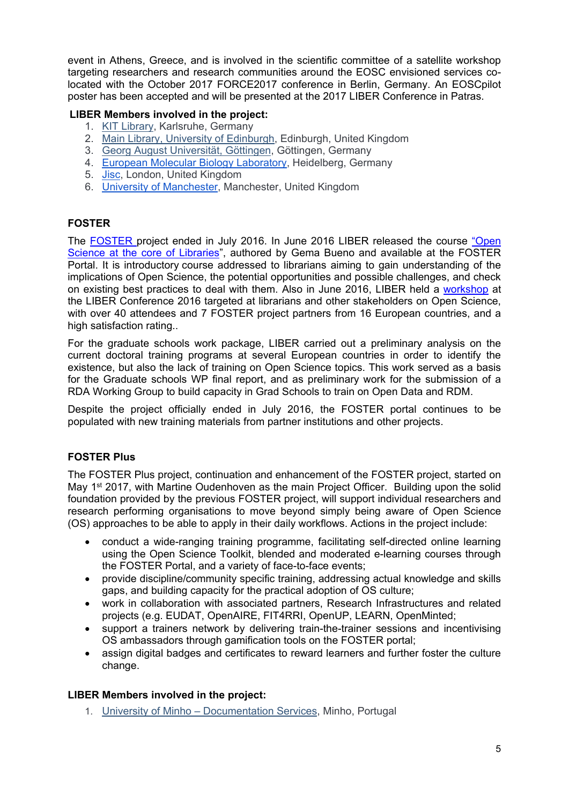event in Athens, Greece, and is involved in the scientific committee of a satellite workshop targeting researchers and research communities around the EOSC envisioned services colocated with the October 2017 FORCE2017 conference in Berlin, Germany. An EOSCpilot poster has been accepted and will be presented at the 2017 LIBER Conference in Patras.

# **LIBER Members involved in the project:**

- 1. [KIT Library,](http://www.bibliothek.kit.edu/cms/english/) Karlsruhe, Germany
- 2. [Main Library, University of Edinburgh,](http://www.ed.ac.uk/information-services/library-museum-gallery) Edinburgh, United Kingdom
- 3. [Georg August Universität, Göttingen,](http://www.uni-goettingen.de/) Göttingen, Germany
- 4. [European Molecular Biology Laboratory,](https://www.embl.de/) Heidelberg, Germany
- 5. [Jisc,](https://www.jisc.ac.uk/) London, United Kingdom
- 6. [University of Manchester,](http://www.manchester.ac.uk/) Manchester, United Kingdom

# **FOSTER**

The [FOSTER](https://www.fosteropenscience.eu/) project ended in July 2016. In June 2016 LIBER released the course ["Open](https://www.fosteropenscience.eu/content/open-science-core-libraries)  [Science at the core of Libraries"](https://www.fosteropenscience.eu/content/open-science-core-libraries), authored by Gema Bueno and available at the FOSTER Portal. It is introductory course addressed to librarians aiming to gain understanding of the implications of Open Science, the potential opportunities and possible challenges, and check on existing best practices to deal with them. Also in June 2016, LIBER held a [workshop](https://www.fosteropenscience.eu/event/foster-workshop-liber-2016-open-science-core-libraries) at the LIBER Conference 2016 targeted at librarians and other stakeholders on Open Science, with over 40 attendees and 7 FOSTER project partners from 16 European countries, and a high satisfaction rating..

For the graduate schools work package, LIBER carried out a preliminary analysis on the current doctoral training programs at several European countries in order to identify the existence, but also the lack of training on Open Science topics. This work served as a basis for the Graduate schools WP final report, and as preliminary work for the submission of a RDA Working Group to build capacity in Grad Schools to train on Open Data and RDM.

Despite the project officially ended in July 2016, the FOSTER portal continues to be populated with new training materials from partner institutions and other projects.

# **FOSTER Plus**

The FOSTER Plus project, continuation and enhancement of the FOSTER project, started on May 1<sup>st</sup> 2017, with Martine Oudenhoven as the main Project Officer. Building upon the solid foundation provided by the previous FOSTER project, will support individual researchers and research performing organisations to move beyond simply being aware of Open Science (OS) approaches to be able to apply in their daily workflows. Actions in the project include:

- conduct a wide-ranging training programme, facilitating self-directed online learning using the Open Science Toolkit, blended and moderated e-learning courses through the FOSTER Portal, and a variety of face-to-face events;
- provide discipline/community specific training, addressing actual knowledge and skills gaps, and building capacity for the practical adoption of OS culture;
- work in collaboration with associated partners, Research Infrastructures and related projects (e.g. EUDAT, OpenAIRE, FIT4RRI, OpenUP, LEARN, OpenMinted;
- support a trainers network by delivering train-the-trainer sessions and incentivising OS ambassadors through gamification tools on the FOSTER portal;
- assign digital badges and certificates to reward learners and further foster the culture change.

# **LIBER Members involved in the project:**

1. University of Minho – [Documentation Services,](http://www.sdum.uminho.pt/) Minho, Portugal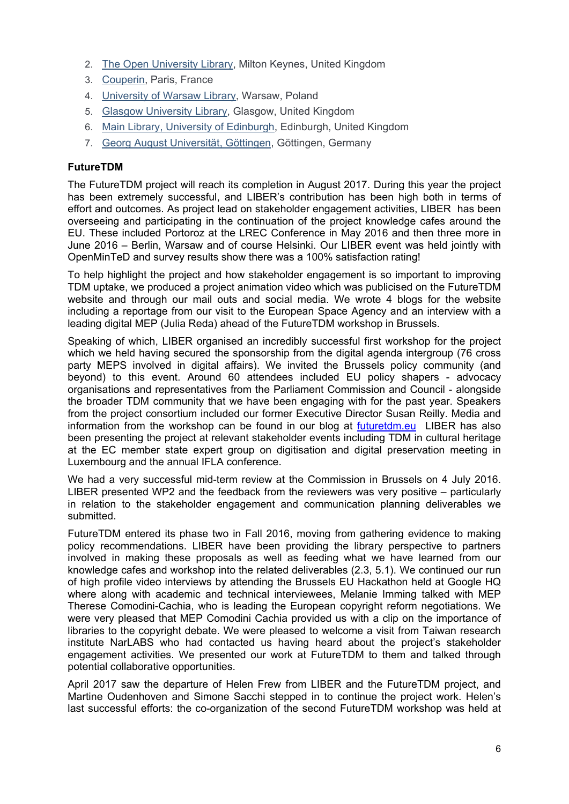- 2. [The Open University Library,](http://www.open.ac.uk/) Milton Keynes, United Kingdom
- 3. [Couperin,](http://www.couperin.org/) Paris, France
- 4. [University of Warsaw Library,](http://www.buw.uw.edu.pl/en/) Warsaw, Poland
- 5. [Glasgow University Library,](http://www.gla.ac.uk/services/library/) Glasgow, United Kingdom
- 6. [Main Library, University of Edinburgh,](http://www.ed.ac.uk/information-services/library-museum-gallery) Edinburgh, United Kingdom
- 7. [Georg August Universität, Göttingen,](http://www.uni-goettingen.de/) Göttingen, Germany

### **FutureTDM**

The FutureTDM project will reach its completion in August 2017. During this year the project has been extremely successful, and LIBER's contribution has been high both in terms of effort and outcomes. As project lead on stakeholder engagement activities, LIBER has been overseeing and participating in the continuation of the project knowledge cafes around the EU. These included Portoroz at the LREC Conference in May 2016 and then three more in June 2016 – Berlin, Warsaw and of course Helsinki. Our LIBER event was held jointly with OpenMinTeD and survey results show there was a 100% satisfaction rating!

To help highlight the project and how stakeholder engagement is so important to improving TDM uptake, we produced a project animation video which was publicised on the FutureTDM website and through our mail outs and social media. We wrote 4 blogs for the website including a reportage from our visit to the European Space Agency and an interview with a leading digital MEP (Julia Reda) ahead of the FutureTDM workshop in Brussels.

Speaking of which, LIBER organised an incredibly successful first workshop for the project which we held having secured the sponsorship from the digital agenda intergroup (76 cross party MEPS involved in digital affairs). We invited the Brussels policy community (and beyond) to this event. Around 60 attendees included EU policy shapers - advocacy organisations and representatives from the Parliament Commission and Council - alongside the broader TDM community that we have been engaging with for the past year. Speakers from the project consortium included our former Executive Director Susan Reilly. Media and information from the workshop can be found in our blog at [futuretdm.eu](http://www.futuretdm.eu/) LIBER has also been presenting the project at relevant stakeholder events including TDM in cultural heritage at the EC member state expert group on digitisation and digital preservation meeting in Luxembourg and the annual IFLA conference.

We had a very successful mid-term review at the Commission in Brussels on 4 July 2016. LIBER presented WP2 and the feedback from the reviewers was very positive – particularly in relation to the stakeholder engagement and communication planning deliverables we submitted.

FutureTDM entered its phase two in Fall 2016, moving from gathering evidence to making policy recommendations. LIBER have been providing the library perspective to partners involved in making these proposals as well as feeding what we have learned from our knowledge cafes and workshop into the related deliverables (2.3, 5.1). We continued our run of high profile video interviews by attending the Brussels EU Hackathon held at Google HQ where along with academic and technical interviewees, Melanie Imming talked with MEP Therese Comodini-Cachia, who is leading the European copyright reform negotiations. We were very pleased that MEP Comodini Cachia provided us with a clip on the importance of libraries to the copyright debate. We were pleased to welcome a visit from Taiwan research institute NarLABS who had contacted us having heard about the project's stakeholder engagement activities. We presented our work at FutureTDM to them and talked through potential collaborative opportunities.

April 2017 saw the departure of Helen Frew from LIBER and the FutureTDM project, and Martine Oudenhoven and Simone Sacchi stepped in to continue the project work. Helen's last successful efforts: the co-organization of the second FutureTDM workshop was held at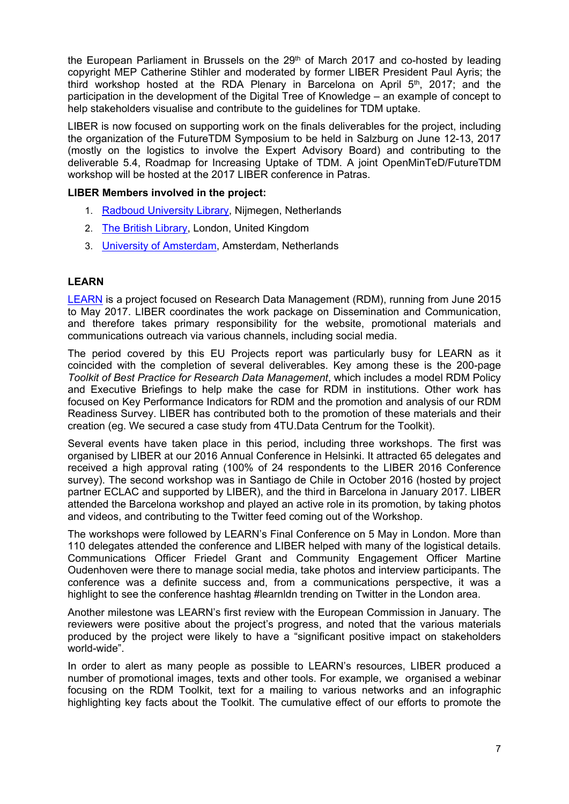the European Parliament in Brussels on the 29<sup>th</sup> of March 2017 and co-hosted by leading copyright MEP Catherine Stihler and moderated by former LIBER President Paul Ayris; the third workshop hosted at the RDA Plenary in Barcelona on April  $5<sup>th</sup>$ , 2017; and the participation in the development of the Digital Tree of Knowledge – an example of concept to help stakeholders visualise and contribute to the guidelines for TDM uptake.

LIBER is now focused on supporting work on the finals deliverables for the project, including the organization of the FutureTDM Symposium to be held in Salzburg on June 12-13, 2017 (mostly on the logistics to involve the Expert Advisory Board) and contributing to the deliverable 5.4, Roadmap for Increasing Uptake of TDM. A joint OpenMinTeD/FutureTDM workshop will be hosted at the 2017 LIBER conference in Patras.

#### **LIBER Members involved in the project:**

- 1. [Radboud University Library,](http://www.ru.nl/ubn/) Nijmegen, Netherlands
- 2. [The British Library,](http://www.bl.uk/) London, United Kingdom
- 3. [University of Amsterdam,](http://www.uva.nl/en/home) Amsterdam, Netherlands

### **LEARN**

[LEARN](http://learn-rdm.eu/) is a project focused on Research Data Management (RDM), running from June 2015 to May 2017. LIBER coordinates the work package on Dissemination and Communication, and therefore takes primary responsibility for the website, promotional materials and communications outreach via various channels, including social media.

The period covered by this EU Projects report was particularly busy for LEARN as it coincided with the completion of several deliverables. Key among these is the 200-page *Toolkit of Best Practice for Research Data Management*, which includes a model RDM Policy and Executive Briefings to help make the case for RDM in institutions. Other work has focused on Key Performance Indicators for RDM and the promotion and analysis of our RDM Readiness Survey. LIBER has contributed both to the promotion of these materials and their creation (eg. We secured a case study from 4TU.Data Centrum for the Toolkit).

Several events have taken place in this period, including three workshops. The first was organised by LIBER at our 2016 Annual Conference in Helsinki. It attracted 65 delegates and received a high approval rating (100% of 24 respondents to the LIBER 2016 Conference survey). The second workshop was in Santiago de Chile in October 2016 (hosted by project partner ECLAC and supported by LIBER), and the third in Barcelona in January 2017. LIBER attended the Barcelona workshop and played an active role in its promotion, by taking photos and videos, and contributing to the Twitter feed coming out of the Workshop.

The workshops were followed by LEARN's Final Conference on 5 May in London. More than 110 delegates attended the conference and LIBER helped with many of the logistical details. Communications Officer Friedel Grant and Community Engagement Officer Martine Oudenhoven were there to manage social media, take photos and interview participants. The conference was a definite success and, from a communications perspective, it was a highlight to see the conference hashtag #learnldn trending on Twitter in the London area.

Another milestone was LEARN's first review with the European Commission in January. The reviewers were positive about the project's progress, and noted that the various materials produced by the project were likely to have a "significant positive impact on stakeholders world-wide".

In order to alert as many people as possible to LEARN's resources, LIBER produced a number of promotional images, texts and other tools. For example, we organised a webinar focusing on the RDM Toolkit, text for a mailing to various networks and an infographic highlighting key facts about the Toolkit. The cumulative effect of our efforts to promote the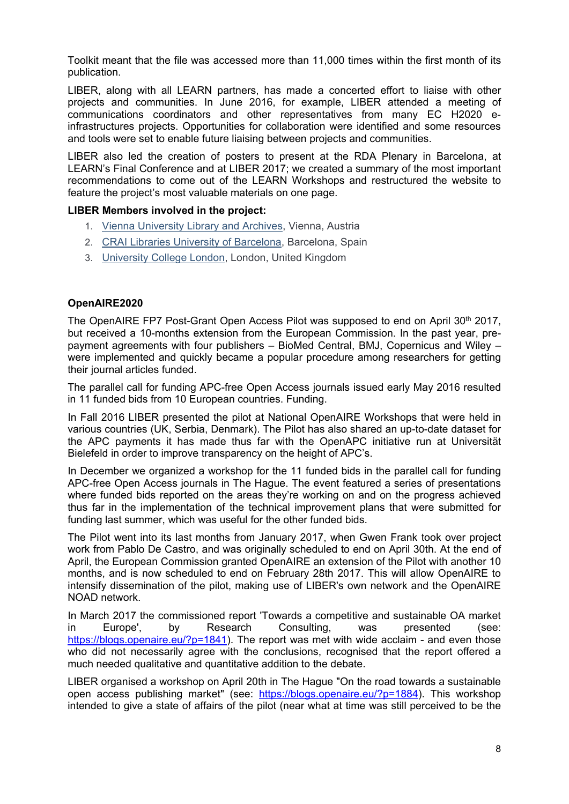Toolkit meant that the file was accessed more than 11,000 times within the first month of its publication.

LIBER, along with all LEARN partners, has made a concerted effort to liaise with other projects and communities. In June 2016, for example, LIBER attended a meeting of communications coordinators and other representatives from many EC H2020 einfrastructures projects. Opportunities for collaboration were identified and some resources and tools were set to enable future liaising between projects and communities.

LIBER also led the creation of posters to present at the RDA Plenary in Barcelona, at LEARN's Final Conference and at LIBER 2017; we created a summary of the most important recommendations to come out of the LEARN Workshops and restructured the website to feature the project's most valuable materials on one page.

#### **LIBER Members involved in the project:**

- 1. [Vienna University Library and Archives,](http://bibliothek.univie.ac.at/english/) Vienna, Austria
- 2. [CRAI Libraries University of Barcelona,](http://crai.ub.edu/en/about-crai/libraries) Barcelona, Spain
- 3. [University College London,](http://www.ucl.ac.uk/library) London, United Kingdom

### **OpenAIRE2020**

The OpenAIRE FP7 Post-Grant Open Access Pilot was supposed to end on April 30<sup>th</sup> 2017, but received a 10-months extension from the European Commission. In the past year, prepayment agreements with four publishers – BioMed Central, BMJ, Copernicus and Wiley – were implemented and quickly became a popular procedure among researchers for getting their journal articles funded.

The parallel call for funding APC-free Open Access journals issued early May 2016 resulted in 11 funded bids from 10 European countries. Funding.

In Fall 2016 LIBER presented the pilot at National OpenAIRE Workshops that were held in various countries (UK, Serbia, Denmark). The Pilot has also shared an up-to-date dataset for the APC payments it has made thus far with the OpenAPC initiative run at Universität Bielefeld in order to improve transparency on the height of APC's.

In December we organized a workshop for the 11 funded bids in the parallel call for funding APC-free Open Access journals in The Hague. The event featured a series of presentations where funded bids reported on the areas they're working on and on the progress achieved thus far in the implementation of the technical improvement plans that were submitted for funding last summer, which was useful for the other funded bids.

The Pilot went into its last months from January 2017, when Gwen Frank took over project work from Pablo De Castro, and was originally scheduled to end on April 30th. At the end of April, the European Commission granted OpenAIRE an extension of the Pilot with another 10 months, and is now scheduled to end on February 28th 2017. This will allow OpenAIRE to intensify dissemination of the pilot, making use of LIBER's own network and the OpenAIRE NOAD network.

In March 2017 the commissioned report 'Towards a competitive and sustainable OA market in Europe', by Research Consulting, was presented (see: [https://blogs.openaire.eu/?p=1841\)](https://blogs.openaire.eu/?p=1841). The report was met with wide acclaim - and even those who did not necessarily agree with the conclusions, recognised that the report offered a much needed qualitative and quantitative addition to the debate.

LIBER organised a workshop on April 20th in The Hague "On the road towards a sustainable open access publishing market" (see: [https://blogs.openaire.eu/?p=1884\)](https://blogs.openaire.eu/?p=1884). This workshop intended to give a state of affairs of the pilot (near what at time was still perceived to be the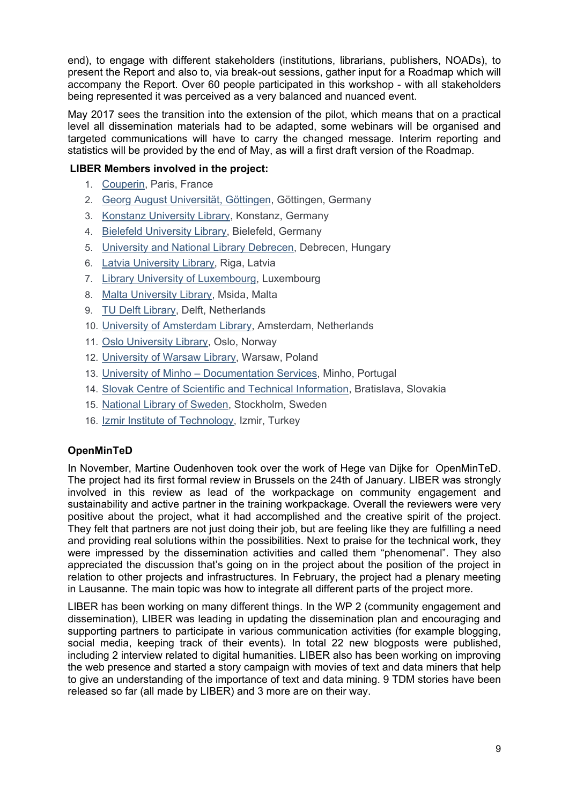end), to engage with different stakeholders (institutions, librarians, publishers, NOADs), to present the Report and also to, via break-out sessions, gather input for a Roadmap which will accompany the Report. Over 60 people participated in this workshop - with all stakeholders being represented it was perceived as a very balanced and nuanced event.

May 2017 sees the transition into the extension of the pilot, which means that on a practical level all dissemination materials had to be adapted, some webinars will be organised and targeted communications will have to carry the changed message. Interim reporting and statistics will be provided by the end of May, as will a first draft version of the Roadmap.

# **LIBER Members involved in the project:**

- 1. [Couperin,](http://www.couperin.org/) Paris, France
- 2. [Georg August Universität, Göttingen,](http://www.uni-goettingen.de/) Göttingen, Germany
- 3. [Konstanz University Library,](http://www.ub.uni-konstanz.de/en/welcome/) Konstanz, Germany
- 4. [Bielefeld University Library,](http://www.ub.uni-bielefeld.de/english/) Bielefeld, Germany
- 5. [University and National Library Debrecen,](http://www.unideb.hu/portal/en/node/1835) Debrecen, Hungary
- 6. [Latvia University Library,](http://www.lu.lv/eng/library/) Riga, Latvia
- 7. [Library University of Luxembourg,](http://wwwen.uni.lu/library) Luxembourg
- 8. [Malta University Library,](https://www.um.edu.mt/library) Msida, Malta
- 9. [TU Delft Library,](http://www.library.tudelft.nl/) Delft, Netherlands
- 10. [University of Amsterdam Library,](http://www.uva.nl/en/home) Amsterdam, Netherlands
- 11. [Oslo University Library,](http://www.ub.uio.no/english/) Oslo, Norway
- 12. [University of Warsaw Library,](http://www.buw.uw.edu.pl/en/) Warsaw, Poland
- 13. University of Minho [Documentation Services,](http://www.sdum.uminho.pt/) Minho, Portugal
- 14. [Slovak Centre of Scientific and Technical Information,](http://www.cvtisr.sk/en.html?page_id=58) Bratislava, Slovakia
- 15. [National Library of Sweden,](http://www.kb.se/english/) Stockholm, Sweden
- 16. [Izmir Institute of Technology,](http://www.iyte.edu.tr/AnaSayfa.aspx?d=ENG) Izmir, Turkey

# **OpenMinTeD**

In November, Martine Oudenhoven took over the work of Hege van Dijke for OpenMinTeD. The project had its first formal review in Brussels on the 24th of January. LIBER was strongly involved in this review as lead of the workpackage on community engagement and sustainability and active partner in the training workpackage. Overall the reviewers were very positive about the project, what it had accomplished and the creative spirit of the project. They felt that partners are not just doing their job, but are feeling like they are fulfilling a need and providing real solutions within the possibilities. Next to praise for the technical work, they were impressed by the dissemination activities and called them "phenomenal". They also appreciated the discussion that's going on in the project about the position of the project in relation to other projects and infrastructures. In February, the project had a plenary meeting in Lausanne. The main topic was how to integrate all different parts of the project more.

LIBER has been working on many different things. In the WP 2 (community engagement and dissemination), LIBER was leading in updating the dissemination plan and encouraging and supporting partners to participate in various communication activities (for example blogging, social media, keeping track of their events). In total 22 new blogposts were published, including 2 interview related to digital humanities. LIBER also has been working on improving the web presence and started a story campaign with movies of text and data miners that help to give an understanding of the importance of text and data mining. 9 TDM stories have been released so far (all made by LIBER) and 3 more are on their way.